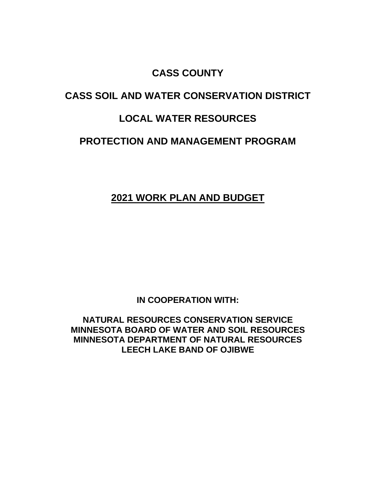## **CASS COUNTY**

# **CASS SOIL AND WATER CONSERVATION DISTRICT**

## **LOCAL WATER RESOURCES**

## **PROTECTION AND MANAGEMENT PROGRAM**

## **2021 WORK PLAN AND BUDGET**

**IN COOPERATION WITH:**

**NATURAL RESOURCES CONSERVATION SERVICE MINNESOTA BOARD OF WATER AND SOIL RESOURCES MINNESOTA DEPARTMENT OF NATURAL RESOURCES LEECH LAKE BAND OF OJIBWE**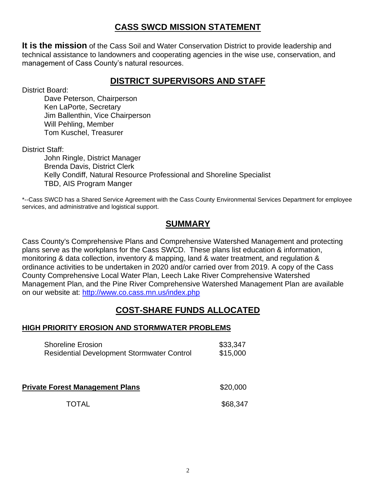### **CASS SWCD MISSION STATEMENT**

**It is the mission** of the Cass Soil and Water Conservation District to provide leadership and technical assistance to landowners and cooperating agencies in the wise use, conservation, and management of Cass County's natural resources.

### **DISTRICT SUPERVISORS AND STAFF**

District Board:

Dave Peterson, Chairperson Ken LaPorte, Secretary Jim Ballenthin, Vice Chairperson Will Pehling, Member Tom Kuschel, Treasurer

District Staff:

John Ringle, District Manager Brenda Davis, District Clerk Kelly Condiff, Natural Resource Professional and Shoreline Specialist TBD, AIS Program Manger

\*--Cass SWCD has a Shared Service Agreement with the Cass County Environmental Services Department for employee services, and administrative and logistical support.

### **SUMMARY**

Cass County's Comprehensive Plans and Comprehensive Watershed Management and protecting plans serve as the workplans for the Cass SWCD. These plans list education & information, monitoring & data collection, inventory & mapping, land & water treatment, and regulation & ordinance activities to be undertaken in 2020 and/or carried over from 2019. A copy of the Cass County Comprehensive Local Water Plan, Leech Lake River Comprehensive Watershed Management Plan, and the Pine River Comprehensive Watershed Management Plan are available on our website at: <http://www.co.cass.mn.us/index.php>

## **COST-SHARE FUNDS ALLOCATED**

#### **HIGH PRIORITY EROSION AND STORMWATER PROBLEMS**

| <b>Shoreline Erosion</b>                          | \$33,347 |
|---------------------------------------------------|----------|
| <b>Residential Development Stormwater Control</b> | \$15,000 |

**Private Forest Management Plans 1998 520,000** 

TOTAL \$68.347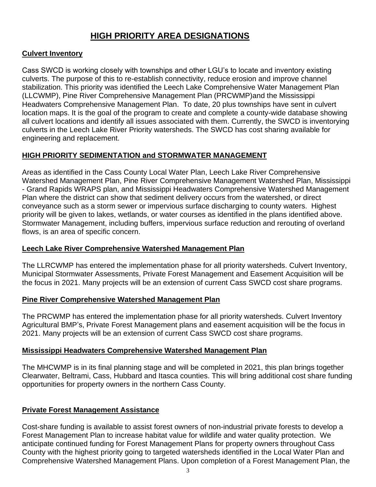### **HIGH PRIORITY AREA DESIGNATIONS**

### **Culvert Inventory**

Cass SWCD is working closely with townships and other LGU's to locate and inventory existing culverts. The purpose of this to re-establish connectivity, reduce erosion and improve channel stabilization. This priority was identified the Leech Lake Comprehensive Water Management Plan (LLCWMP), Pine River Comprehensive Management Plan (PRCWMP)and the Mississippi Headwaters Comprehensive Management Plan. To date, 20 plus townships have sent in culvert location maps. It is the goal of the program to create and complete a county-wide database showing all culvert locations and identify all issues associated with them. Currently, the SWCD is inventorying culverts in the Leech Lake River Priority watersheds. The SWCD has cost sharing available for engineering and replacement.

### **HIGH PRIORITY SEDIMENTATION and STORMWATER MANAGEMENT**

Areas as identified in the Cass County Local Water Plan, Leech Lake River Comprehensive Watershed Management Plan, Pine River Comprehensive Management Watershed Plan, Mississippi - Grand Rapids WRAPS plan, and Mississippi Headwaters Comprehensive Watershed Management Plan where the district can show that sediment delivery occurs from the watershed, or direct conveyance such as a storm sewer or impervious surface discharging to county waters. Highest priority will be given to lakes, wetlands, or water courses as identified in the plans identified above. Stormwater Management, including buffers, impervious surface reduction and rerouting of overland flows, is an area of specific concern.

#### **Leech Lake River Comprehensive Watershed Management Plan**

The LLRCWMP has entered the implementation phase for all priority watersheds. Culvert Inventory, Municipal Stormwater Assessments, Private Forest Management and Easement Acquisition will be the focus in 2021. Many projects will be an extension of current Cass SWCD cost share programs.

#### **Pine River Comprehensive Watershed Management Plan**

The PRCWMP has entered the implementation phase for all priority watersheds. Culvert Inventory Agricultural BMP's, Private Forest Management plans and easement acquisition will be the focus in 2021. Many projects will be an extension of current Cass SWCD cost share programs.

#### **Mississippi Headwaters Comprehensive Watershed Management Plan**

The MHCWMP is in its final planning stage and will be completed in 2021, this plan brings together Clearwater, Beltrami, Cass, Hubbard and Itasca counties. This will bring additional cost share funding opportunities for property owners in the northern Cass County.

#### **Private Forest Management Assistance**

Cost-share funding is available to assist forest owners of non-industrial private forests to develop a Forest Management Plan to increase habitat value for wildlife and water quality protection. We anticipate continued funding for Forest Management Plans for property owners throughout Cass County with the highest priority going to targeted watersheds identified in the Local Water Plan and Comprehensive Watershed Management Plans. Upon completion of a Forest Management Plan, the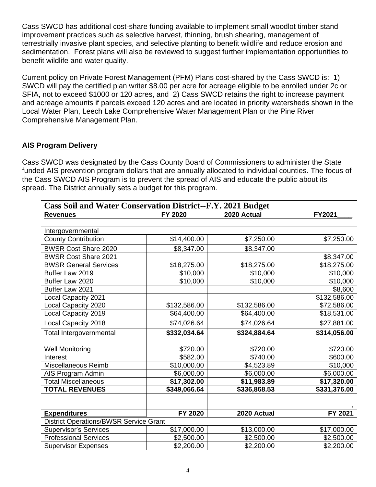Cass SWCD has additional cost-share funding available to implement small woodlot timber stand improvement practices such as selective harvest, thinning, brush shearing, management of terrestrially invasive plant species, and selective planting to benefit wildlife and reduce erosion and sedimentation. Forest plans will also be reviewed to suggest further implementation opportunities to benefit wildlife and water quality.

Current policy on Private Forest Management (PFM) Plans cost-shared by the Cass SWCD is: 1) SWCD will pay the certified plan writer \$8.00 per acre for acreage eligible to be enrolled under 2c or SFIA, not to exceed \$1000 or 120 acres, and 2) Cass SWCD retains the right to increase payment and acreage amounts if parcels exceed 120 acres and are located in priority watersheds shown in the Local Water Plan, Leech Lake Comprehensive Water Management Plan or the Pine River Comprehensive Management Plan.

#### **AIS Program Delivery**

Cass SWCD was designated by the Cass County Board of Commissioners to administer the State funded AIS prevention program dollars that are annually allocated to individual counties. The focus of the Cass SWCD AIS Program is to prevent the spread of AIS and educate the public about its spread. The District annually sets a budget for this program.

| <b>Revenues</b>                               | FY 2020      | 2020 Actual  | FY2021       |
|-----------------------------------------------|--------------|--------------|--------------|
| Intergovernmental                             |              |              |              |
| <b>County Contribution</b>                    | \$14,400.00  | \$7,250.00   | \$7,250.00   |
| <b>BWSR Cost Share 2020</b>                   | \$8,347.00   | \$8,347.00   |              |
| <b>BWSR Cost Share 2021</b>                   |              |              | \$8,347.00   |
| <b>BWSR General Services</b>                  | \$18,275.00  | \$18,275.00  | \$18,275.00  |
| Buffer Law 2019                               | \$10,000     | \$10,000     | \$10,000     |
| Buffer Law 2020                               | \$10,000     | \$10,000     | \$10,000     |
| Buffer Law 2021                               |              |              | \$8,600      |
| Local Capacity 2021                           |              |              | \$132,586.00 |
| Local Capacity 2020                           | \$132,586.00 | \$132,586.00 | \$72,586.00  |
| Local Capacity 2019                           | \$64,400.00  | \$64,400.00  | \$18,531.00  |
| Local Capacity 2018                           | \$74,026.64  | \$74,026.64  | \$27,881.00  |
| Total Intergovernmental                       | \$332,034.64 | \$324,884.64 | \$314,056.00 |
| <b>Well Monitoring</b>                        | \$720.00     | \$720.00     | \$720.00     |
| Interest                                      | \$582.00     | \$740.00     | \$600.00     |
| Miscellaneous Reimb                           | \$10,000.00  | \$4,523.89   | \$10,000     |
| AIS Program Admin                             | \$6,000.00   | \$6,000.00   | \$6,000.00   |
| <b>Total Miscellaneous</b>                    | \$17,302.00  | \$11,983.89  | \$17,320.00  |
| <b>TOTAL REVENUES</b>                         | \$349.066.64 | \$336,868.53 | \$331,376.00 |
|                                               |              |              |              |
| <b>Expenditures</b>                           | FY 2020      | 2020 Actual  | FY 2021      |
| <b>District Operations/BWSR Service Grant</b> |              |              |              |
| <b>Supervisor's Services</b>                  | \$17,000.00  | \$13,000.00  | \$17,000.00  |
| <b>Professional Services</b>                  | \$2,500.00   | \$2,500.00   | \$2,500.00   |
| <b>Supervisor Expenses</b>                    | \$2,200.00   | \$2,200.00   | \$2,200.00   |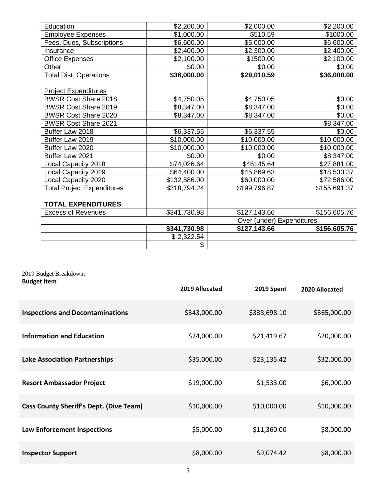| Education                         | \$2,200.00                | \$2,000.00   | \$2,200.00   |
|-----------------------------------|---------------------------|--------------|--------------|
| <b>Employee Expenses</b>          | \$1,000.00                | \$510.59     | \$1000.00    |
| Fees, Dues, Subscriptions         | \$6,600.00                | \$5,000.00   | \$6,600.00   |
| Insurance                         | \$2,400.00                | \$2,300.00   | \$2,400.00   |
| <b>Office Expenses</b>            | \$2,100.00                | \$1500.00    | \$2,100.00   |
| Other                             | \$0.00                    | \$0.00       | \$0.00       |
| <b>Total Dist. Operations</b>     | \$36,000.00               | \$29,010.59  | \$36,000.00  |
|                                   |                           |              |              |
| <b>Project Expenditures</b>       |                           |              |              |
| <b>BWSR Cost Share 2018</b>       | \$4,750.05                | \$4,750.05   | \$0.00       |
| <b>BWSR Cost Share 2019</b>       | \$8,347.00                | \$8,347.00   | \$0.00       |
| <b>BWSR Cost Share 2020</b>       | \$8,347.00                | \$8,347.00   | \$0.00       |
| <b>BWSR Cost Share 2021</b>       |                           |              | \$8,347.00   |
| Buffer Law 2018                   | \$6,337.55                | \$6,337.55   | \$0.00       |
| Buffer Law 2019                   | \$10,000.00               | \$10,000.00  | \$10,000.00  |
| Buffer Law 2020                   | \$10,000.00               | \$10,000.00  | \$10,000.00  |
| Buffer Law 2021                   | \$0.00                    | \$0.00       | \$8,347.00   |
| Local Capacity 2018               | \$74,026.64               | \$46145.64   | \$27,881.00  |
| Local Capacity 2019               | \$64,400.00               | \$45,869.63  | \$18,530.37  |
| Local Capacity 2020               | \$132,586.00              | \$60,000.00  | \$72,586.00  |
| <b>Total Project Expenditures</b> | \$318,794.24              | \$199,796.87 | \$155,691.37 |
|                                   |                           |              |              |
| <b>TOTAL EXPENDITURES</b>         |                           |              |              |
| <b>Excess of Revenues</b>         | \$341,730.98              | \$127,143.66 | \$156,605.76 |
|                                   | Over (under) Expenditures |              |              |
|                                   | \$341,730.98              | \$127,143.66 | \$156,605.76 |
|                                   | $$-2,322.54$              |              |              |
|                                   | \$                        |              |              |

#### 2019 Budget Breakdown: **Budget Item**

|                                                | 2019 Allocated | 2019 Spent   | 2020 Allocated |
|------------------------------------------------|----------------|--------------|----------------|
| <b>Inspections and Decontaminations</b>        | \$343,000.00   | \$338,698.10 | \$365,000.00   |
| <b>Information and Education</b>               | \$24,000.00    | \$21,419.67  | \$20,000.00    |
| <b>Lake Association Partnerships</b>           | \$35,000.00    | \$23,135.42  | \$32,000.00    |
| <b>Resort Ambassador Project</b>               | \$19,000.00    | \$1,533.00   | \$6,000.00     |
| <b>Cass County Sheriff's Dept. (Dive Team)</b> | \$10,000.00    | \$10,000.00  | \$10,000.00    |
| <b>Law Enforcement Inspections</b>             | \$5,000.00     | \$11,360.00  | \$8,000.00     |
| <b>Inspector Support</b>                       | \$8,000.00     | \$9,074.42   | \$8,000.00     |